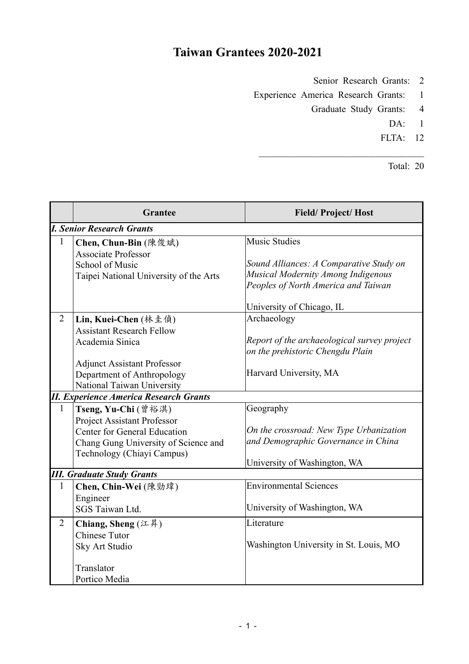## **Taiwan Grantees 2020-2021**

Senior Research Grants: 2

Experience America Research Grants: 1

- Graduate Study Grants: 4
	- DA: 1
	- FLTA: 12

Total: 20

|                                               | <b>Grantee</b>                         | <b>Field/Project/Host</b>                   |  |  |  |
|-----------------------------------------------|----------------------------------------|---------------------------------------------|--|--|--|
| <b>I. Senior Research Grants</b>              |                                        |                                             |  |  |  |
| $\mathbf{1}$                                  | Chen, Chun-Bin (陳俊斌)                   | <b>Music Studies</b>                        |  |  |  |
|                                               | <b>Associate Professor</b>             |                                             |  |  |  |
|                                               | School of Music                        | Sound Alliances: A Comparative Study on     |  |  |  |
|                                               | Taipei National University of the Arts | Musical Modernity Among Indigenous          |  |  |  |
|                                               |                                        | Peoples of North America and Taiwan         |  |  |  |
|                                               |                                        | University of Chicago, IL                   |  |  |  |
| $\overline{2}$                                | Lin, Kuei-Chen (林圭偵)                   | Archaeology                                 |  |  |  |
|                                               | <b>Assistant Research Fellow</b>       |                                             |  |  |  |
|                                               | Academia Sinica                        | Report of the archaeological survey project |  |  |  |
|                                               |                                        | on the prehistoric Chengdu Plain            |  |  |  |
|                                               | <b>Adjunct Assistant Professor</b>     |                                             |  |  |  |
|                                               | Department of Anthropology             | Harvard University, MA                      |  |  |  |
|                                               | National Taiwan University             |                                             |  |  |  |
| <b>II. Experience America Research Grants</b> |                                        |                                             |  |  |  |
| $\mathbf{1}$                                  | Tseng, Yu-Chi (曾裕淇)                    | Geography                                   |  |  |  |
|                                               | <b>Project Assistant Professor</b>     |                                             |  |  |  |
|                                               | <b>Center for General Education</b>    | On the crossroad: New Type Urbanization     |  |  |  |
|                                               | Chang Gung University of Science and   | and Demographic Governance in China         |  |  |  |
|                                               | Technology (Chiayi Campus)             |                                             |  |  |  |
|                                               |                                        | University of Washington, WA                |  |  |  |
| <b>III. Graduate Study Grants</b>             |                                        |                                             |  |  |  |
| $\mathbf{1}$                                  | Chen, Chin-Wei (陳勁瑋)                   | <b>Environmental Sciences</b>               |  |  |  |
|                                               | Engineer                               |                                             |  |  |  |
|                                               | SGS Taiwan Ltd.                        | University of Washington, WA                |  |  |  |
| $\overline{2}$                                | Chiang, Sheng (江昇)                     | Literature                                  |  |  |  |
|                                               | <b>Chinese Tutor</b>                   |                                             |  |  |  |
|                                               | Sky Art Studio                         | Washington University in St. Louis, MO      |  |  |  |
|                                               | Translator                             |                                             |  |  |  |
|                                               | Portico Media                          |                                             |  |  |  |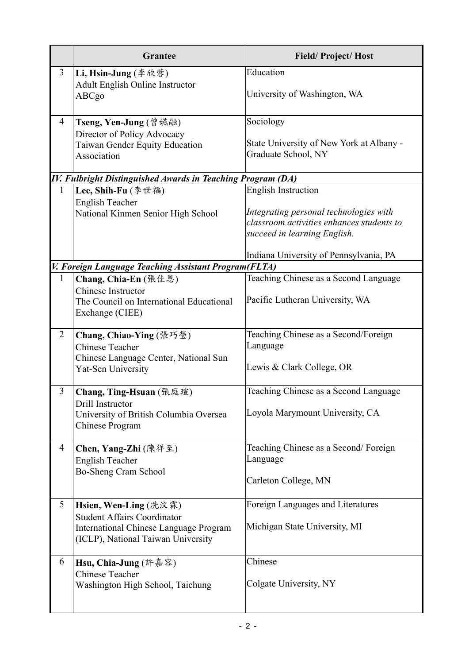|                                                                    | <b>Grantee</b>                                                                                                                                     | <b>Field/Project/Host</b>                                                                                                                         |  |  |
|--------------------------------------------------------------------|----------------------------------------------------------------------------------------------------------------------------------------------------|---------------------------------------------------------------------------------------------------------------------------------------------------|--|--|
| $\overline{3}$                                                     | Li, Hsin-Jung (李欣蓉)<br>Adult English Online Instructor<br>ABCgo                                                                                    | Education<br>University of Washington, WA                                                                                                         |  |  |
| 4                                                                  | Tseng, Yen-Jung (曾嬿融)<br>Director of Policy Advocacy<br>Taiwan Gender Equity Education<br>Association                                              | Sociology<br>State University of New York at Albany -<br>Graduate School, NY                                                                      |  |  |
| <b>IV. Fulbright Distinguished Awards in Teaching Program (DA)</b> |                                                                                                                                                    |                                                                                                                                                   |  |  |
| $\mathbf{1}$                                                       | Lee, Shih-Fu (李世福)<br><b>English Teacher</b><br>National Kinmen Senior High School                                                                 | <b>English Instruction</b><br>Integrating personal technologies with<br>classroom activities enhances students to<br>succeed in learning English. |  |  |
|                                                                    |                                                                                                                                                    | Indiana University of Pennsylvania, PA                                                                                                            |  |  |
|                                                                    | V. Foreign Language Teaching Assistant Program(FLTA)                                                                                               |                                                                                                                                                   |  |  |
| $\mathbf{1}$                                                       | Chang, Chia-En (張佳恩)<br><b>Chinese Instructor</b><br>The Council on International Educational<br>Exchange (CIEE)                                   | Teaching Chinese as a Second Language<br>Pacific Lutheran University, WA                                                                          |  |  |
| 2                                                                  | Chang, Chiao-Ying (張巧瑩)<br><b>Chinese Teacher</b><br>Chinese Language Center, National Sun<br>Yat-Sen University                                   | Teaching Chinese as a Second/Foreign<br>Language<br>Lewis & Clark College, OR                                                                     |  |  |
| 3                                                                  | Chang, Ting-Hsuan (張庭瑄)<br>Drill Instructor<br>University of British Columbia Oversea<br>Chinese Program                                           | Teaching Chinese as a Second Language<br>Loyola Marymount University, CA                                                                          |  |  |
| 4                                                                  | Chen, Yang-Zhi (陳徉至)<br><b>English Teacher</b><br>Bo-Sheng Cram School                                                                             | Teaching Chinese as a Second/Foreign<br>Language<br>Carleton College, MN                                                                          |  |  |
| 5                                                                  | <b>Hsien, Wen-Ling</b> (冼汶霖)<br><b>Student Affairs Coordinator</b><br>International Chinese Language Program<br>(ICLP), National Taiwan University | Foreign Languages and Literatures<br>Michigan State University, MI                                                                                |  |  |
| 6                                                                  | Hsu, Chia-Jung (許嘉容)<br><b>Chinese Teacher</b><br>Washington High School, Taichung                                                                 | Chinese<br>Colgate University, NY                                                                                                                 |  |  |